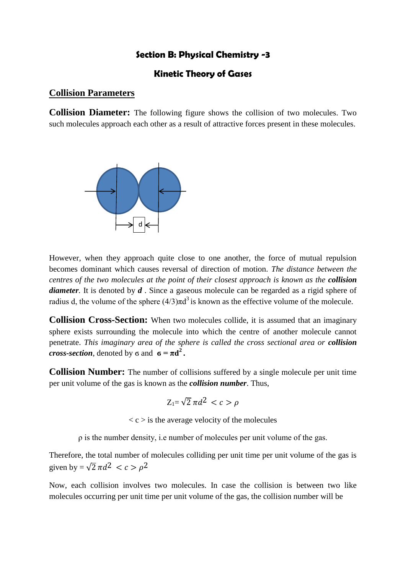## **Section B: Physical Chemistry -3**

## **Kinetic Theory of Gases**

## **Collision Parameters**

**Collision Diameter:** The following figure shows the collision of two molecules. Two such molecules approach each other as a result of attractive forces present in these molecules.



However, when they approach quite close to one another, the force of mutual repulsion becomes dominant which causes reversal of direction of motion. *The distance between the centres of the two molecules at the point of their closest approach is known as the collision diameter*. It is denoted by *d*. Since a gaseous molecule can be regarded as a rigid sphere of radius d, the volume of the sphere  $(4/3)\pi d^3$  is known as the effective volume of the molecule.

**Collision Cross-Section:** When two molecules collide, it is assumed that an imaginary sphere exists surrounding the molecule into which the centre of another molecule cannot penetrate. *This imaginary area of the sphere is called the cross sectional area or collision cross-section*, denoted by  $\sigma$  and  $\sigma = \pi d^2$ .

**Collision Number:** The number of collisions suffered by a single molecule per unit time per unit volume of the gas is known as the *collision number*. Thus,

$$
Z_1 = \sqrt{2} \pi d^2 < c > \rho
$$

 $\langle c \rangle$  is the average velocity of the molecules

ρ is the number density, i.e number of molecules per unit volume of the gas.

Therefore, the total number of molecules colliding per unit time per unit volume of the gas is given by =  $\sqrt{2} \pi d^2 < c > \rho^2$ 

Now, each collision involves two molecules. In case the collision is between two like molecules occurring per unit time per unit volume of the gas, the collision number will be